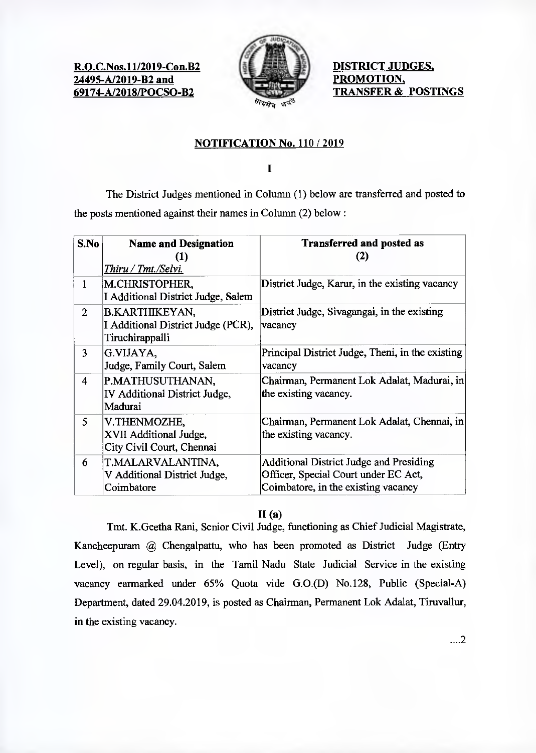**R.O.C.Nos.11/2019-Con.B2 24495-A/2019-B2 and 69174-A/2018/POCSO-B2** 



**DISTRICT JUDGES, PROMOTION, TRANSFER & POSTINGS** 

# **NOTIFICATION No. 110 / 2019**

 $\overline{\mathbf{I}}$ 

The District Judges mentioned in Column (1) below are transferred and posted to the posts mentioned against their names in Column (2) below:

| S.No           | <b>Name and Designation</b><br>(1)<br>Thiru / Tmt./Selvi.               | <b>Transferred and posted as</b><br>(2)                                                                                       |
|----------------|-------------------------------------------------------------------------|-------------------------------------------------------------------------------------------------------------------------------|
| 1              | M.CHRISTOPHER,<br>I Additional District Judge, Salem                    | District Judge, Karur, in the existing vacancy                                                                                |
| $\overline{2}$ | B.KARTHIKEYAN,<br>I Additional District Judge (PCR),<br>Tiruchirappalli | District Judge, Sivagangai, in the existing<br>vacancy                                                                        |
| 3              | G.VIJAYA,<br>Judge, Family Court, Salem                                 | Principal District Judge, Theni, in the existing<br>vacancy                                                                   |
| 4              | P.MATHUSUTHANAN,<br>IV Additional District Judge,<br>Madurai            | Chairman, Permanent Lok Adalat, Madurai, in<br>the existing vacancy.                                                          |
| 5              | V.THENMOZHE,<br>XVII Additional Judge,<br>City Civil Court, Chennai     | Chairman, Permanent Lok Adalat, Chennai, in<br>the existing vacancy.                                                          |
| 6              | T.MALARVALANTINA,<br>V Additional District Judge,<br>Coimbatore         | <b>Additional District Judge and Presiding</b><br>Officer, Special Court under EC Act,<br>Coimbatore, in the existing vacancy |

## **11(a)**

Tmt. K.Geetha Rani, Senior Civil Judge, functioning as Chief Judicial Magistrate, Kancheepuram @ Chengalpattu, who has been promoted as District Judge (Entry Level), on regular basis, in the Tamil Nadu State Judicial Service in the existing vacancy earmarked under 65% Quota vide G.0.(D) No.128, Public (Special-A) Department, dated 29.04.2019, is posted as Chairman, Permanent Lok Adalat, Tiruvallur, in the existing vacancy.

....2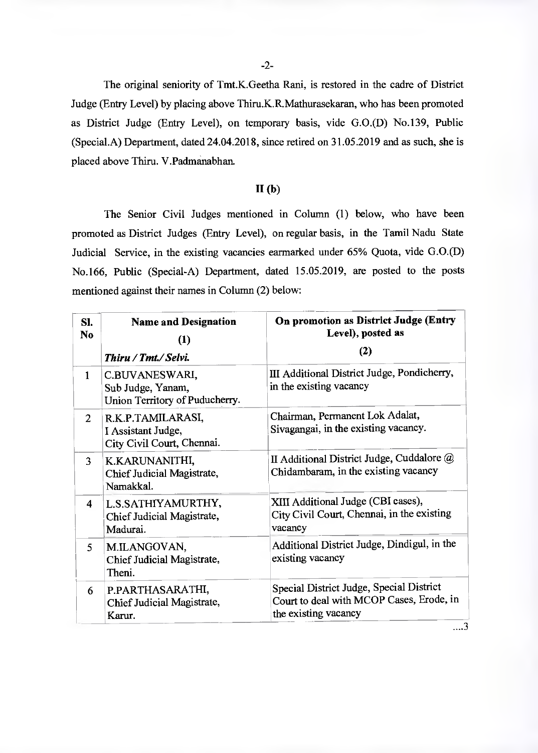-2-

The original seniority of Tmt.K.Geetha Rani, is restored in the cadre of District Judge (Entry Level) by placing above Thiru.K.R.Mathurasekaran, who has been promoted as District Judge (Entry Level), on temporary basis, vide G.0.(D) No.139, Public (Special.A) Department, dated 24.04.2018, since retired on 31.05.2019 and as such, she is placed above Thiru. V.Padmanabhan.

#### **11(b)**

The Senior Civil Judges mentioned in Column (1) below, who have been promoted as District Judges (Entry Level), on regular basis, in the Tamil Nadu State Judicial Service, in the existing vacancies earmarked under 65% Quota, vide G.0.(D) No.166, Public (Special-A) Department, dated 15.05.2019, are posted to the posts mentioned against their names in Column (2) below:

| SI.<br>No               | <b>Name and Designation</b><br>(1)<br>Thiru / Tmt./ Selvi.            | On promotion as District Judge (Entry<br>Level), posted as<br>(2)                                            |
|-------------------------|-----------------------------------------------------------------------|--------------------------------------------------------------------------------------------------------------|
| $\mathbf{1}$            | C.BUVANESWARI,<br>Sub Judge, Yanam,<br>Union Territory of Puducherry. | III Additional District Judge, Pondicherry,<br>in the existing vacancy                                       |
| $\overline{2}$          | R.K.P.TAMILARASI,<br>I Assistant Judge,<br>City Civil Court, Chennai. | Chairman, Permanent Lok Adalat,<br>Sivagangai, in the existing vacancy.                                      |
| 3.                      | K.KARUNANITHI,<br>Chief Judicial Magistrate,<br>Namakkal.             | II Additional District Judge, Cuddalore @<br>Chidambaram, in the existing vacancy                            |
| $\overline{\mathbf{4}}$ | L.S.SATHIYAMURTHY,<br>Chief Judicial Magistrate,<br>Madurai.          | XIII Additional Judge (CBI cases),<br>City Civil Court, Chennai, in the existing<br>vacancy                  |
| 5 <sup>1</sup>          | M.ILANGOVAN,<br>Chief Judicial Magistrate,<br>Theni.                  | Additional District Judge, Dindigul, in the<br>existing vacancy                                              |
| 6                       | P.PARTHASARATHI,<br>Chief Judicial Magistrate,<br>Karur.              | Special District Judge, Special District<br>Court to deal with MCOP Cases, Erode, in<br>the existing vacancy |

. . . . 3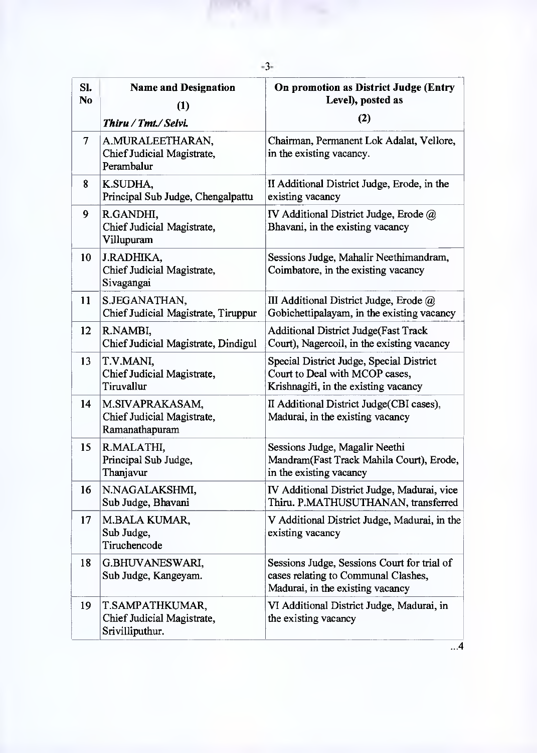| SI.<br>N <sub>0</sub> | <b>Name and Designation</b>                                      | On promotion as District Judge (Entry<br>Level), posted as                                                             |
|-----------------------|------------------------------------------------------------------|------------------------------------------------------------------------------------------------------------------------|
|                       | (1)<br>Thiru / Tmt./ Selvi.                                      | (2)                                                                                                                    |
| $\overline{\tau}$     | A.MURALEETHARAN,<br>Chief Judicial Magistrate,<br>Perambalur     | Chairman, Permanent Lok Adalat, Vellore,<br>in the existing vacancy.                                                   |
| 8                     | K.SUDHA,<br>Principal Sub Judge, Chengalpattu                    | II Additional District Judge, Erode, in the<br>existing vacancy                                                        |
| 9                     | R.GANDHI,<br>Chief Judicial Magistrate,<br>Villupuram            | IV Additional District Judge, Erode $\omega$<br>Bhavani, in the existing vacancy                                       |
| 10                    | J.RADHIKA,<br>Chief Judicial Magistrate,<br>Sivagangai           | Sessions Judge, Mahalir Neethimandram,<br>Coimbatore, in the existing vacancy                                          |
| 11                    | S.JEGANATHAN,<br>Chief Judicial Magistrate, Tiruppur             | III Additional District Judge, Erode @<br>Gobichettipalayam, in the existing vacancy                                   |
| 12                    | R.NAMBI,<br>Chief Judicial Magistrate, Dindigul                  | <b>Additional District Judge (Fast Track</b><br>Court), Nagercoil, in the existing vacancy                             |
| 13                    | T.V.MANI,<br>Chief Judicial Magistrate,<br>Tiruvallur            | Special District Judge, Special District<br>Court to Deal with MCOP cases,<br>Krishnagiri, in the existing vacancy     |
| 14                    | M.SIVAPRAKASAM,<br>Chief Judicial Magistrate,<br>Ramanathapuram  | II Additional District Judge (CBI cases),<br>Madurai, in the existing vacancy                                          |
| 15                    | R.MALATHI,<br>Principal Sub Judge,<br>Thanjavur                  | Sessions Judge, Magalir Neethi<br>Mandram(Fast Track Mahila Court), Erode,<br>in the existing vacancy                  |
| 16                    | N.NAGALAKSHMI,<br>Sub Judge, Bhavani                             | IV Additional District Judge, Madurai, vice<br>Thiru. P.MATHUSUTHANAN, transferred                                     |
| 17                    | <b>M.BALA KUMAR,</b><br>Sub Judge,<br>Tiruchencode               | V Additional District Judge, Madurai, in the<br>existing vacancy                                                       |
| 18                    | G.BHUVANESWARI,<br>Sub Judge, Kangeyam.                          | Sessions Judge, Sessions Court for trial of<br>cases relating to Communal Clashes,<br>Madurai, in the existing vacancy |
| 19                    | T.SAMPATHKUMAR,<br>Chief Judicial Magistrate,<br>Srivilliputhur. | VI Additional District Judge, Madurai, in<br>the existing vacancy                                                      |

-3-

 $\overline{...4}$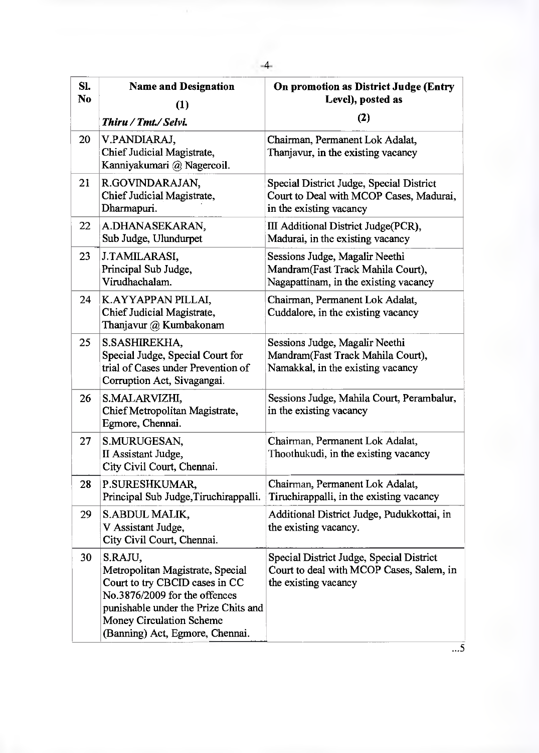| SI.<br>N <sub>0</sub> | <b>Name and Designation</b><br>(1)<br>Thiru / Tmt./ Selvi.                                                                                                                                                                   | On promotion as District Judge (Entry<br>Level), posted as<br>(2)                                              |
|-----------------------|------------------------------------------------------------------------------------------------------------------------------------------------------------------------------------------------------------------------------|----------------------------------------------------------------------------------------------------------------|
| 20                    | V.PANDIARAJ,<br>Chief Judicial Magistrate,<br>Kanniyakumari @ Nagercoil.                                                                                                                                                     | Chairman, Permanent Lok Adalat,<br>Thanjavur, in the existing vacancy                                          |
| 21                    | R.GOVINDARAJAN,<br>Chief Judicial Magistrate,<br>Dharmapuri.                                                                                                                                                                 | Special District Judge, Special District<br>Court to Deal with MCOP Cases, Madurai,<br>in the existing vacancy |
| 22                    | A.DHANASEKARAN,<br>Sub Judge, Ulundurpet                                                                                                                                                                                     | III Additional District Judge(PCR),<br>Madurai, in the existing vacancy                                        |
| 23                    | J.TAMILARASI,<br>Principal Sub Judge,<br>Virudhachalam.                                                                                                                                                                      | Sessions Judge, Magalir Neethi<br>Mandram(Fast Track Mahila Court),<br>Nagapattinam, in the existing vacancy   |
| 24                    | K.AYYAPPAN PILLAI,<br>Chief Judicial Magistrate,<br>Thanjavur @ Kumbakonam                                                                                                                                                   | Chairman, Permanent Lok Adalat,<br>Cuddalore, in the existing vacancy                                          |
| 25                    | S.SASHIREKHA,<br>Special Judge, Special Court for<br>trial of Cases under Prevention of<br>Corruption Act, Sivagangai.                                                                                                       | Sessions Judge, Magalir Neethi<br>Mandram(Fast Track Mahila Court),<br>Namakkal, in the existing vacancy       |
| 26                    | S.MALARVIZHI,<br>Chief Metropolitan Magistrate,<br>Egmore, Chennai.                                                                                                                                                          | Sessions Judge, Mahila Court, Perambalur,<br>in the existing vacancy                                           |
| 27                    | S.MURUGESAN,<br>II Assistant Judge,<br>City Civil Court, Chennai.                                                                                                                                                            | Chairman, Permanent Lok Adalat,<br>Thoothukudi, in the existing vacancy                                        |
| 28                    | P.SURESHKUMAR,<br>Principal Sub Judge, Tiruchirappalli.                                                                                                                                                                      | Chairman, Permanent Lok Adalat,<br>Tiruchirappalli, in the existing vacancy                                    |
| 29                    | S.ABDUL MALIK,<br>V Assistant Judge,<br>City Civil Court, Chennai.                                                                                                                                                           | Additional District Judge, Pudukkottai, in<br>the existing vacancy.                                            |
| 30                    | S.RAJU,<br>Metropolitan Magistrate, Special<br>Court to try CBCID cases in CC<br>No.3876/2009 for the offences<br>punishable under the Prize Chits and<br><b>Money Circulation Scheme</b><br>(Banning) Act, Egmore, Chennai. | Special District Judge, Special District<br>Court to deal with MCOP Cases, Salem, in<br>the existing vacancy   |

 $\dots$ 5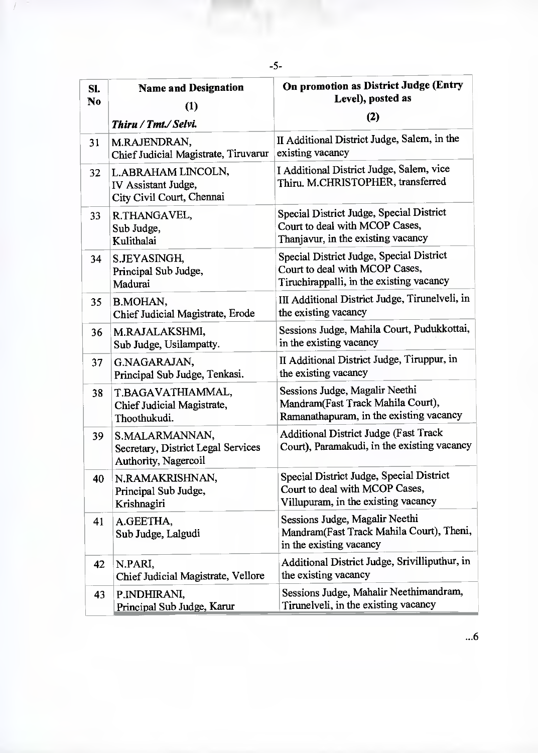| SI.<br>N <sub>0</sub> | <b>Name and Designation</b><br>(1)                                           | On promotion as District Judge (Entry<br>Level), posted as                                                             |
|-----------------------|------------------------------------------------------------------------------|------------------------------------------------------------------------------------------------------------------------|
|                       | Thiru / Tmt./ Selvi.                                                         | (2)                                                                                                                    |
| 31                    | M.RAJENDRAN,<br>Chief Judicial Magistrate, Tiruvarur                         | II Additional District Judge, Salem, in the<br>existing vacancy                                                        |
| 32                    | L. ABRAHAM LINCOLN,<br>IV Assistant Judge,<br>City Civil Court, Chennai      | I Additional District Judge, Salem, vice<br>Thiru. M.CHRISTOPHER, transferred                                          |
| 33                    | R.THANGAVEL,<br>Sub Judge,<br>Kulithalai                                     | Special District Judge, Special District<br>Court to deal with MCOP Cases,<br>Thanjavur, in the existing vacancy       |
| 34                    | S. JEYASINGH,<br>Principal Sub Judge,<br>Madurai                             | Special District Judge, Special District<br>Court to deal with MCOP Cases,<br>Tiruchirappalli, in the existing vacancy |
| 35                    | B.MOHAN,<br>Chief Judicial Magistrate, Erode                                 | III Additional District Judge, Tirunelveli, in<br>the existing vacancy                                                 |
| 36                    | M.RAJALAKSHMI,<br>Sub Judge, Usilampatty.                                    | Sessions Judge, Mahila Court, Pudukkottai,<br>in the existing vacancy                                                  |
| 37                    | G.NAGARAJAN,<br>Principal Sub Judge, Tenkasi.                                | II Additional District Judge, Tiruppur, in<br>the existing vacancy                                                     |
| 38                    | T.BAGAVATHIAMMAL,<br>Chief Judicial Magistrate,<br>Thoothukudi.              | Sessions Judge, Magalir Neethi<br>Mandram(Fast Track Mahila Court),<br>Ramanathapuram, in the existing vacancy         |
| 39                    | S.MALARMANNAN,<br>Secretary, District Legal Services<br>Authority, Nagercoil | Additional District Judge (Fast Track<br>Court), Paramakudi, in the existing vacancy                                   |
| 40                    | N.RAMAKRISHNAN,<br>Principal Sub Judge,<br>Krishnagiri                       | Special District Judge, Special District<br>Court to deal with MCOP Cases,<br>Villupuram, in the existing vacancy      |
| 41                    | A.GEETHA,<br>Sub Judge, Lalgudi                                              | Sessions Judge, Magalir Neethi<br>Mandram(Fast Track Mahila Court), Theni,<br>in the existing vacancy                  |
| 42                    | N.PARI,<br>Chief Judicial Magistrate, Vellore                                | Additional District Judge, Srivilliputhur, in<br>the existing vacancy                                                  |
| 43                    | P.INDHIRANI,<br>Principal Sub Judge, Karur                                   | Sessions Judge, Mahalir Neethimandram,<br>Tirunelveli, in the existing vacancy                                         |

 $\overline{1}$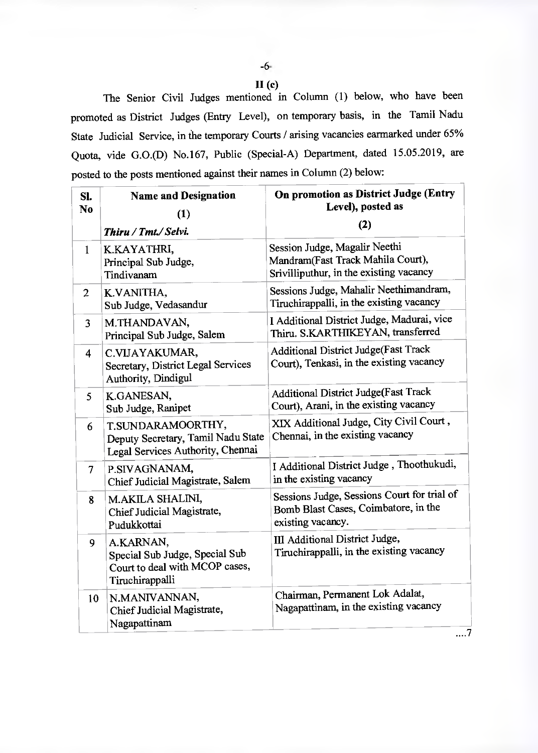-6-  $II(c)$ 

The Senior Civil Judges mentioned in Column (1) below, who have been promoted as District Judges (Entry Level), on temporary basis, in the Tamil Nadu State Judicial Service, in the temporary Courts / arising vacancies earmarked under 65% Quota, vide G.0.(D) No.167, Public (Special-A) Department, dated 15.05.2019, are posted to the posts mentioned against their names in Column (2) below:

| SI.<br>N <sub>0</sub> | <b>Name and Designation</b><br>(1)<br>Thiru / Tmt./ Selvi.                                       | On promotion as District Judge (Entry<br>Level), posted as<br>(2)                                             |
|-----------------------|--------------------------------------------------------------------------------------------------|---------------------------------------------------------------------------------------------------------------|
| $\mathbf{1}$          | K.KAYATHRI,<br>Principal Sub Judge,<br>Tindivanam                                                | Session Judge, Magalir Neethi<br>Mandram(Fast Track Mahila Court),<br>Srivilliputhur, in the existing vacancy |
| $\overline{2}$        | K.VANITHA,<br>Sub Judge, Vedasandur                                                              | Sessions Judge, Mahalir Neethimandram,<br>Tiruchirappalli, in the existing vacancy                            |
| $\overline{3}$        | M.THANDAVAN,<br>Principal Sub Judge, Salem                                                       | I Additional District Judge, Madurai, vice<br>Thiru. S.KARTHIKEYAN, transferred                               |
| $\overline{4}$        | C.VIJAYAKUMAR,<br>Secretary, District Legal Services<br>Authority, Dindigul                      | Additional District Judge(Fast Track<br>Court), Tenkasi, in the existing vacancy                              |
| 5                     | K.GANESAN,<br>Sub Judge, Ranipet                                                                 | Additional District Judge(Fast Track<br>Court), Arani, in the existing vacancy                                |
| 6                     | T.SUNDARAMOORTHY,<br>Deputy Secretary, Tamil Nadu State<br>Legal Services Authority, Chennai     | XIX Additional Judge, City Civil Court,<br>Chennai, in the existing vacancy                                   |
| $\overline{7}$        | P.SIVAGNANAM,<br>Chief Judicial Magistrate, Salem                                                | I Additional District Judge, Thoothukudi,<br>in the existing vacancy                                          |
| 8                     | M.AKILA SHALINI,<br>Chief Judicial Magistrate,<br>Pudukkottai                                    | Sessions Judge, Sessions Court for trial of<br>Bomb Blast Cases, Coimbatore, in the<br>existing vacancy.      |
| 9                     | A.KARNAN,<br>Special Sub Judge, Special Sub<br>Court to deal with MCOP cases,<br>Tiruchirappalli | III Additional District Judge,<br>Tiruchirappalli, in the existing vacancy                                    |
| 10                    | N.MANIVANNAN,<br>Chief Judicial Magistrate,<br>Nagapattinam                                      | Chairman, Permanent Lok Adalat,<br>Nagapattinam, in the existing vacancy                                      |

....7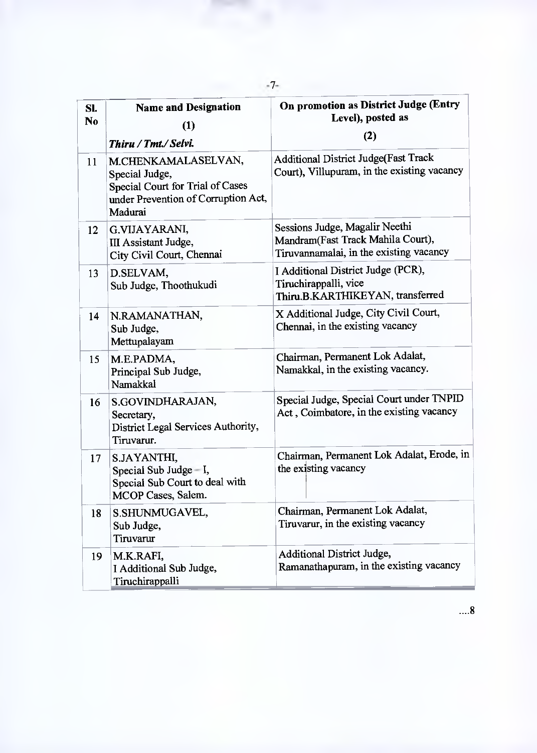| Sl.<br>N <sub>0</sub> | <b>Name and Designation</b><br>(1)                                                                                                       | On promotion as District Judge (Entry<br>Level), posted as<br>(2)                                              |
|-----------------------|------------------------------------------------------------------------------------------------------------------------------------------|----------------------------------------------------------------------------------------------------------------|
| 11                    | Thiru / Tmt./ Selvi.<br>M.CHENKAMALASELVAN,<br>Special Judge,<br>Special Court for Trial of Cases<br>under Prevention of Corruption Act, | Additional District Judge(Fast Track<br>Court), Villupuram, in the existing vacancy                            |
| 12                    | Madurai<br>G.VIJAYARANI,<br>III Assistant Judge,<br>City Civil Court, Chennai                                                            | Sessions Judge, Magalir Neethi<br>Mandram(Fast Track Mahila Court),<br>Tiruvannamalai, in the existing vacancy |
| 13                    | D.SELVAM,<br>Sub Judge, Thoothukudi                                                                                                      | I Additional District Judge (PCR),<br>Tiruchirappalli, vice<br>Thiru.B.KARTHIKEYAN, transferred                |
| 14                    | N.RAMANATHAN,<br>Sub Judge,<br>Mettupalayam                                                                                              | X Additional Judge, City Civil Court,<br>Chennai, in the existing vacancy                                      |
| 15                    | M.E.PADMA,<br>Principal Sub Judge,<br>Namakkal                                                                                           | Chairman, Permanent Lok Adalat,<br>Namakkal, in the existing vacancy.                                          |
| 16                    | S.GOVINDHARAJAN,<br>Secretary,<br>District Legal Services Authority,<br>Tiruvarur.                                                       | Special Judge, Special Court under TNPID<br>Act, Coimbatore, in the existing vacancy                           |
| 17                    | S.JAYANTHI,<br>Special Sub Judge $-I$ ,<br>Special Sub Court to deal with<br>MCOP Cases, Salem.                                          | Chairman, Permanent Lok Adalat, Erode, in<br>the existing vacancy                                              |
| 18                    | S.SHUNMUGAVEL,<br>Sub Judge,<br>Tiruvarur                                                                                                | Chairman, Permanent Lok Adalat,<br>Tiruvarur, in the existing vacancy                                          |
| 19                    | M.K.RAFI,<br>I Additional Sub Judge,<br>Tiruchirappalli                                                                                  | Additional District Judge,<br>Ramanathapuram, in the existing vacancy                                          |

-7-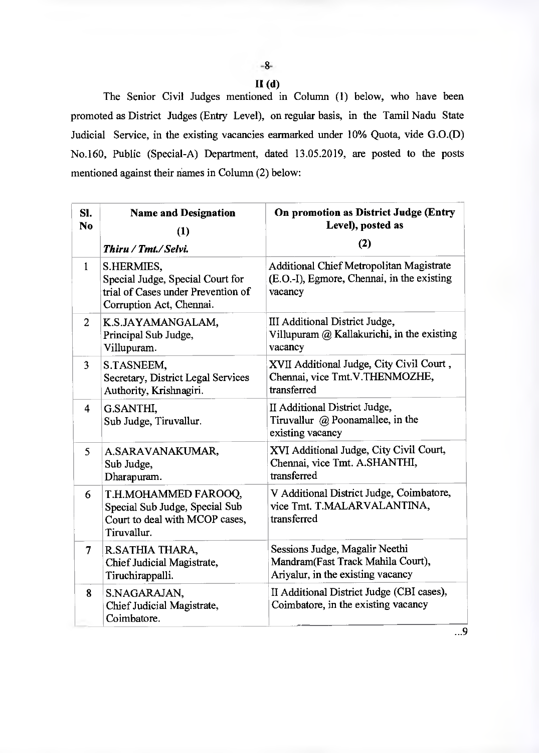## **11(d)**

The Senior Civil Judges mentioned in Column (1) below, who have been promoted as District Judges (Entry Level), on regular basis, in the Tamil Nadu State Judicial Service, in the existing vacancies earmarked under 10% Quota, vide G.0.(D) No.160, Public (Special-A) Department, dated 13.05.2019, are posted to the posts mentioned against their names in Column (2) below:

| SI.<br>N <sub>0</sub> | <b>Name and Designation</b><br>(1)<br>Thiru / Tmt./ Selvi.                                                       | On promotion as District Judge (Entry<br>Level), posted as<br>(2)                                        |
|-----------------------|------------------------------------------------------------------------------------------------------------------|----------------------------------------------------------------------------------------------------------|
| $\mathbf{1}$          | S.HERMIES,<br>Special Judge, Special Court for<br>trial of Cases under Prevention of<br>Corruption Act, Chennai. | <b>Additional Chief Metropolitan Magistrate</b><br>(E.O.-I), Egmore, Chennai, in the existing<br>vacancy |
| $\overline{2}$        | K.S.JAYAMANGALAM,<br>Principal Sub Judge,<br>Villupuram.                                                         | III Additional District Judge,<br>Villupuram @ Kallakurichi, in the existing<br>vacancy                  |
| 3                     | S.TASNEEM,<br>Secretary, District Legal Services<br>Authority, Krishnagiri.                                      | XVII Additional Judge, City Civil Court,<br>Chennai, vice Tmt.V.THENMOZHE,<br>transferred                |
| $\overline{\bf{4}}$   | G.SANTHI,<br>Sub Judge, Tiruvallur.                                                                              | II Additional District Judge,<br>Tiruvallur $\omega$ Poonamallee, in the<br>existing vacancy             |
| 5                     | A.SARAVANAKUMAR,<br>Sub Judge,<br>Dharapuram.                                                                    | XVI Additional Judge, City Civil Court,<br>Chennai, vice Tmt. A.SHANTHI,<br>transferred                  |
| 6                     | T.H.MOHAMMED FAROOQ,<br>Special Sub Judge, Special Sub<br>Court to deal with MCOP cases,<br>Tiruvallur.          | V Additional District Judge, Coimbatore,<br>vice Tmt. T.MALARVALANTINA,<br>transferred                   |
| $\overline{\tau}$     | R.SATHIA THARA,<br>Chief Judicial Magistrate,<br>Tiruchirappalli.                                                | Sessions Judge, Magalir Neethi<br>Mandram(Fast Track Mahila Court),<br>Ariyalur, in the existing vacancy |
| 8                     | S.NAGARAJAN,<br>Chief Judicial Magistrate,<br>Coimbatore.                                                        | II Additional District Judge (CBI cases),<br>Coimbatore, in the existing vacancy                         |

...9